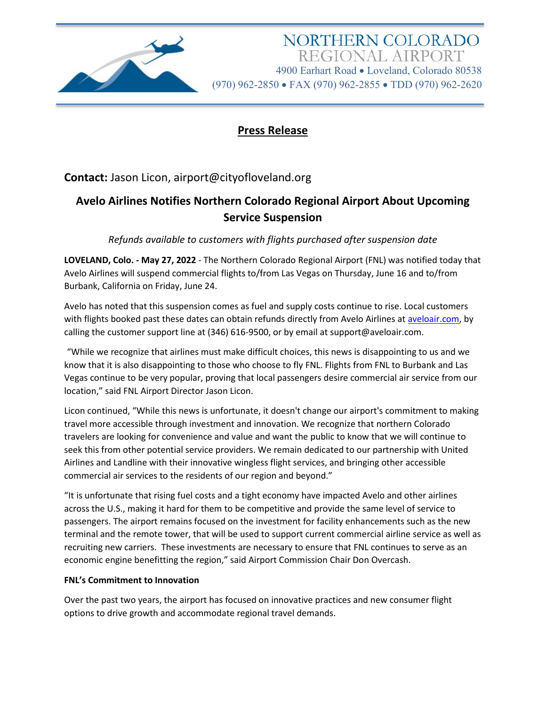

NORTHERN COLORADO REGIONAL AIRPORT 4900 Earhart Road • Loveland, Colorado 80538 (970) 962-2850 • FAX (970) 962-2855 • TDD (970) 962-2620

### **Press Release**

## **Contact:** Jason Licon, airport@cityofloveland.org

# **Avelo Airlines Notifies Northern Colorado Regional Airport About Upcoming Service Suspension**

*Refunds available to customers with flights purchased after suspension date*

**LOVELAND, Colo. - May 27, 2022** - The Northern Colorado Regional Airport (FNL) was notified today that Avelo Airlines will suspend commercial flights to/from Las Vegas on Thursday, June 16 and to/from Burbank, California on Friday, June 24.

Avelo has noted that this suspension comes as fuel and supply costs continue to rise. Local customers with flights booked past these dates can obtain refunds directly from Avelo Airlines at [aveloair.com,](http://aveloair.com/) by calling the customer support line at (346) 616-9500, or by email at support@aveloair.com.

"While we recognize that airlines must make difficult choices, this news is disappointing to us and we know that it is also disappointing to those who choose to fly FNL. Flights from FNL to Burbank and Las Vegas continue to be very popular, proving that local passengers desire commercial air service from our location," said FNL Airport Director Jason Licon.

Licon continued, "While this news is unfortunate, it doesn't change our airport's commitment to making travel more accessible through investment and innovation. We recognize that northern Colorado travelers are looking for convenience and value and want the public to know that we will continue to seek this from other potential service providers. We remain dedicated to our partnership with United Airlines and Landline with their innovative wingless flight services, and bringing other accessible commercial air services to the residents of our region and beyond."

"It is unfortunate that rising fuel costs and a tight economy have impacted Avelo and other airlines across the U.S., making it hard for them to be competitive and provide the same level of service to passengers. The airport remains focused on the investment for facility enhancements such as the new terminal and the remote tower, that will be used to support current commercial airline service as well as recruiting new carriers. These investments are necessary to ensure that FNL continues to serve as an economic engine benefitting the region," said Airport Commission Chair Don Overcash.

#### **FNL's Commitment to Innovation**

Over the past two years, the airport has focused on innovative practices and new consumer flight options to drive growth and accommodate regional travel demands.